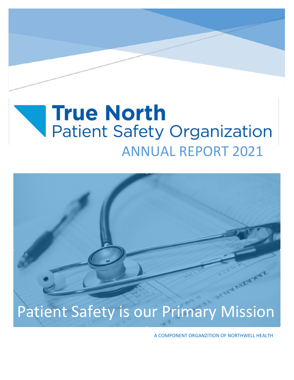# **True North Patient Safety Organization** ANNUAL REPORT 2021



A COMPONENT ORGANZITION OF NORTHWELL HEALTH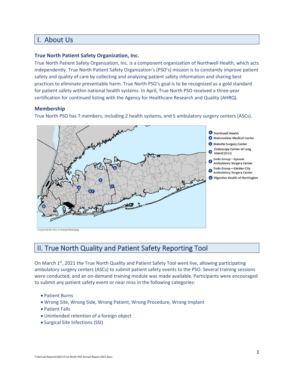# I. About Us

#### **True North Patient Safety Organization, Inc.**

True North Patient Safety Organization, Inc. is a component organization of Northwell Health, which acts independently. True North Patient Safety Organization's (PSO's) mission is to constantly improve patient safety and quality of care by collecting and analyzing patient safety information and sharing best practices to eliminate preventable harm. True North PSO's goal is to be recognized as a gold standard for patient safety within national health systems. In April, True North PSO received a three-year certification for continued listing with the Agency for Healthcare Research and Quality (AHRQ).

#### **Membership**

True North PSO has 7 members, including 2 health systems, and 5 ambulatory surgery centers (ASCs).



Prepared by the Office of Strategic Planning/mr

## II. True North Quality and Patient Safety Reporting Tool

On March 1<sup>st</sup>, 2021 the True North Quality and Patient Safety Tool went live, allowing participating ambulatory surgery centers (ASCs) to submit patient safety events to the PSO. Several training sessions were conducted, and an on-demand training module was made available. Participants were encouraged to submit any patient safety event or near miss in the following categories:

- Patient Burns
- Wrong Site, Wrong Side, Wrong Patient, Wrong Procedure, Wrong Implant
- Patient Falls
- Unintended retention of a foreign object
- Surgical Site Infections (SSI)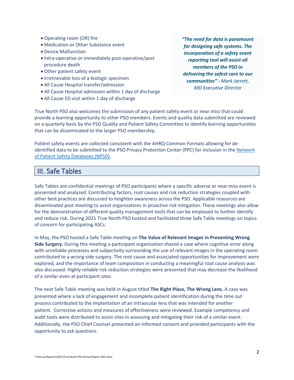- Operating room (OR) fire
- Medication or Other Substance event
- Device Malfunction
- Intra-operative or immediately post-operative/post procedure death
- Other patient safety event
- Irretrievable loss of a biologic specimen
- All Cause Hospital transfer/admission
- All Cause Hospital admission within 1 day of discharge
- All Cause ED visit within 1 day of discharge

*"The need for data is paramount for designing safe systems. The incorporation of a safety event reporting tool will assist all members of the PSO in delivering the safest care to our communities" - Mark Jarrett, MD Executive Director*

True North PSO also welcomes the submission of any patient safety event or near miss that could provide a learning opportunity to other PSO members. Events and quality data submitted are reviewed on a quarterly basis by the PSO Quality and Patient Safety Committee to identify learning opportunities that can be disseminated to the larger PSO membership.

Patient safety events are collected consistent with the AHRQ Common Formats allowing for deidentified data to be submitted to the PSO Privacy Protection Center (PPC) for inclusion in th[e Network](https://www.ahrq.gov/npsd/index.html)  [of Patient Safety Databases \(NPSD\).](https://www.ahrq.gov/npsd/index.html)

#### III. Safe Tables

Safe Tables are confidential meetings of PSO participants where a specific adverse or near miss event is presented and analyzed. Contributing factors, root causes and risk reduction strategies coupled with other best practices are discussed to heighten awareness across the PSO. Applicable resources are disseminated post meeting to assist organizations in proactive risk mitigation. These meetings also allow for the demonstration of different quality management tools that can be employed to further identify and reduce risk. During 2021 True North PSO hosted and facilitated three Safe Table meetings on topics of concern for participating ASCs.

In May, the PSO hosted a Safe Table meeting on **The Value of Relevant Images in Preventing Wrong Side Surgery.** During this meeting a participant organization shared a case where cognitive error along with unreliable processes and subjectivity surrounding the use of relevant images in the operating room contributed to a wrong side surgery. The root cause and associated opportunities for improvement were explored, and the importance of team composition in conducting a meaningful root cause analysis was also discussed. Highly reliable risk reduction strategies were presented that may decrease the likelihood of a similar even at participant sites.

The next Safe Table meeting was held in August titled **The Right Place, The Wrong Lens.** A case was presented where a lack of engagement and incomplete patient identification during the time out process contributed to the implantation of an intraocular lens that was intended for another patient. Corrective actions and measures of effectiveness were reviewed. Example competency and audit tools were distributed to assist sites in assessing and mitigating their risk of a similar event. Additionally, the PSO Chief Counsel presented on informed consent and provided participants with the opportunity to ask questions.